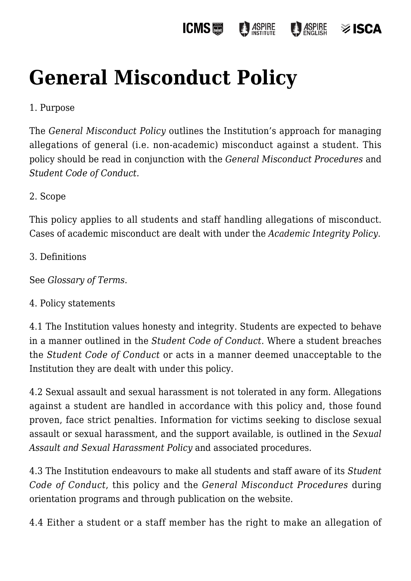#### **ICMS圖 ASPIRE ASPIRE** ≫ ISCA

# **[General Misconduct Policy](https://policies.icms.edu.au/general-misconduct-policy/)**

## 1. Purpose

The *General Misconduct Policy* outlines the Institution's approach for managing allegations of general (i.e. non-academic) misconduct against a student. This policy should be read in conjunction with the *General Misconduct Procedures* and *Student Code of Conduct.*

#### 2. Scope

This policy applies to all students and staff handling allegations of misconduct. Cases of academic misconduct are dealt with under the *Academic Integrity Policy*.

3. Definitions

See *Glossary of Terms*.

#### 4. Policy statements

4.1 The Institution values honesty and integrity. Students are expected to behave in a manner outlined in the *Student Code of Conduct*. Where a student breaches the *Student Code of Conduct* or acts in a manner deemed unacceptable to the Institution they are dealt with under this policy.

4.2 Sexual assault and sexual harassment is not tolerated in any form. Allegations against a student are handled in accordance with this policy and, those found proven, face strict penalties. Information for victims seeking to disclose sexual assault or sexual harassment, and the support available, is outlined in the *Sexual Assault and Sexual Harassment Policy* and associated procedures.

4.3 The Institution endeavours to make all students and staff aware of its *Student Code of Conduct*, this policy and the *General Misconduct Procedures* during orientation programs and through publication on the website.

4.4 Either a student or a staff member has the right to make an allegation of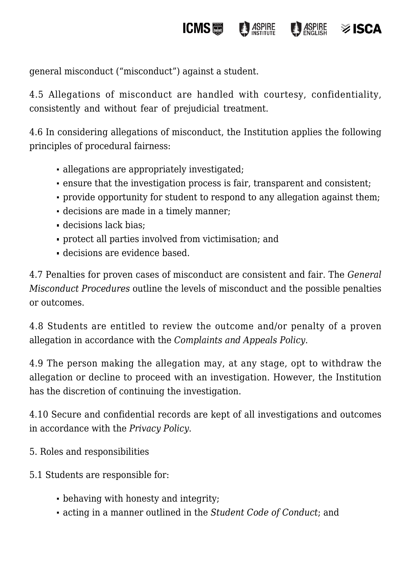general misconduct ("misconduct") against a student.

4.5 Allegations of misconduct are handled with courtesy, confidentiality, consistently and without fear of prejudicial treatment.

**ICMS**圖

ASPIRE

 $\frac{1}{2}$  ASPIRE

isc∆≋

4.6 In considering allegations of misconduct, the Institution applies the following principles of procedural fairness:

- allegations are appropriately investigated;
- ensure that the investigation process is fair, transparent and consistent;
- provide opportunity for student to respond to any allegation against them;
- decisions are made in a timely manner;
- decisions lack bias;
- protect all parties involved from victimisation; and
- decisions are evidence based.

4.7 Penalties for proven cases of misconduct are consistent and fair. The *General Misconduct Procedures* outline the levels of misconduct and the possible penalties or outcomes.

4.8 Students are entitled to review the outcome and/or penalty of a proven allegation in accordance with the *Complaints and Appeals Policy*.

4.9 The person making the allegation may, at any stage, opt to withdraw the allegation or decline to proceed with an investigation. However, the Institution has the discretion of continuing the investigation.

4.10 Secure and confidential records are kept of all investigations and outcomes in accordance with the *Privacy Policy*.

- 5. Roles and responsibilities
- 5.1 Students are responsible for:
	- behaving with honesty and integrity;
	- acting in a manner outlined in the *Student Code of Conduct*; and